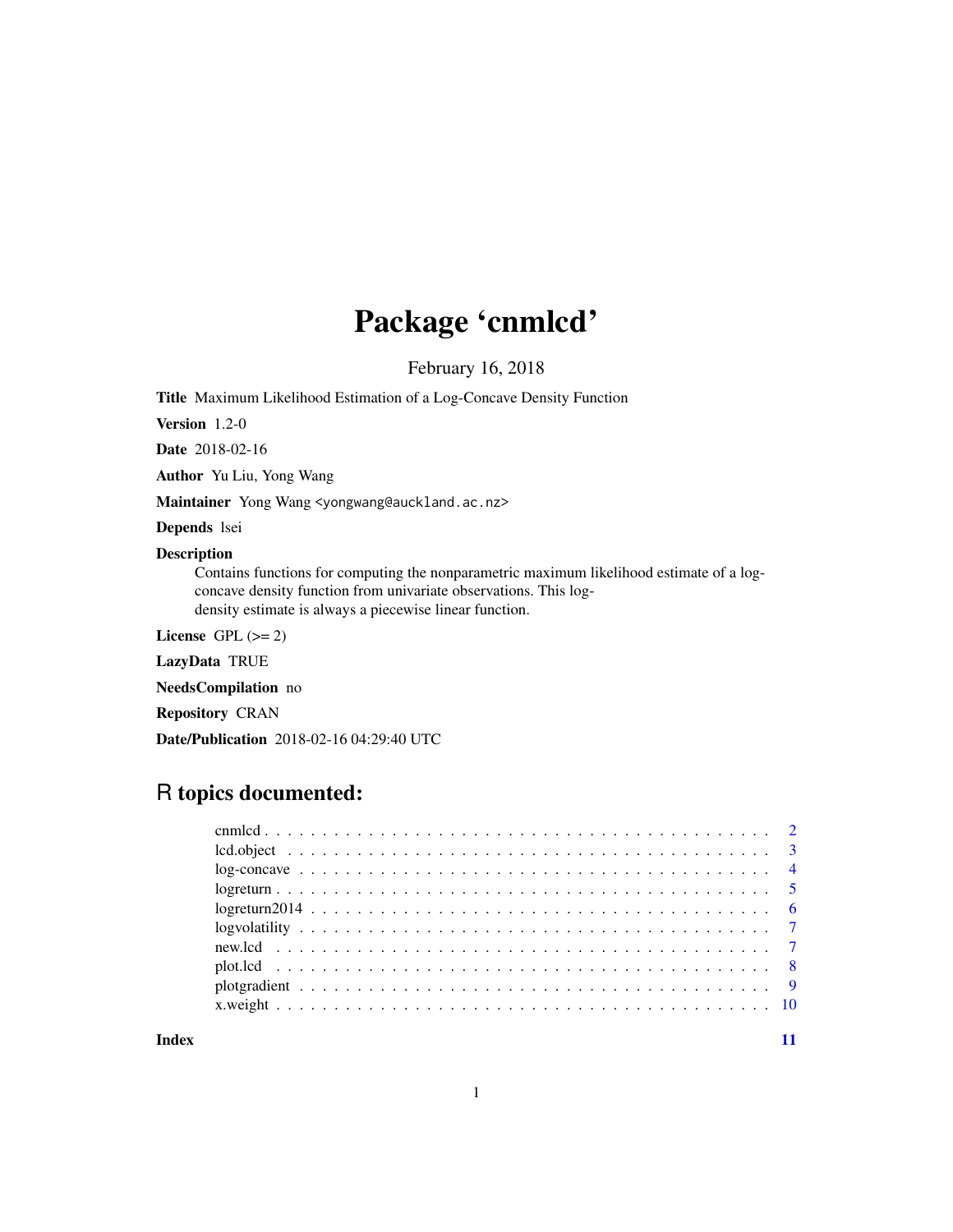## Package 'cnmlcd'

February 16, 2018

Title Maximum Likelihood Estimation of a Log-Concave Density Function

Version 1.2-0

Date 2018-02-16

Author Yu Liu, Yong Wang

Maintainer Yong Wang <yongwang@auckland.ac.nz>

Depends lsei

#### Description

Contains functions for computing the nonparametric maximum likelihood estimate of a logconcave density function from univariate observations. This logdensity estimate is always a piecewise linear function.

License GPL  $(>= 2)$ 

LazyData TRUE

NeedsCompilation no

Repository CRAN

Date/Publication 2018-02-16 04:29:40 UTC

### R topics documented:

| $lcd. object \nightharpoonup \nightharpoonup \nightharpoonup \nightharpoonup \nightharpoonup \nightharpoonup \nightharpoonup \nightharpoonup \nightharpoonup \nightharpoonup \nightharpoonup \nightharpoonup \nightharpoonup \nightharpoonup \nightharpoonup \nightharpoonup \nightharpoonup \nightharpoonup \nightharpoonup \nightharpoonup \nightharpoonup \nightharpoonup \nightharpoonup \nightharpoonup \nightharpoonup \nightharpoonup \nightharpoonup \nightharpoonup \nightharpoonup \nightharpoonup \nightharpoonup \nightharpoonup \nightharpoonup \nightharpoonup \nightharpoonup \nightharpoonup$ |  |
|---------------------------------------------------------------------------------------------------------------------------------------------------------------------------------------------------------------------------------------------------------------------------------------------------------------------------------------------------------------------------------------------------------------------------------------------------------------------------------------------------------------------------------------------------------------------------------------------------------------|--|
|                                                                                                                                                                                                                                                                                                                                                                                                                                                                                                                                                                                                               |  |
|                                                                                                                                                                                                                                                                                                                                                                                                                                                                                                                                                                                                               |  |
|                                                                                                                                                                                                                                                                                                                                                                                                                                                                                                                                                                                                               |  |
|                                                                                                                                                                                                                                                                                                                                                                                                                                                                                                                                                                                                               |  |
|                                                                                                                                                                                                                                                                                                                                                                                                                                                                                                                                                                                                               |  |
|                                                                                                                                                                                                                                                                                                                                                                                                                                                                                                                                                                                                               |  |
|                                                                                                                                                                                                                                                                                                                                                                                                                                                                                                                                                                                                               |  |
|                                                                                                                                                                                                                                                                                                                                                                                                                                                                                                                                                                                                               |  |
|                                                                                                                                                                                                                                                                                                                                                                                                                                                                                                                                                                                                               |  |

#### **Index** [11](#page-10-0)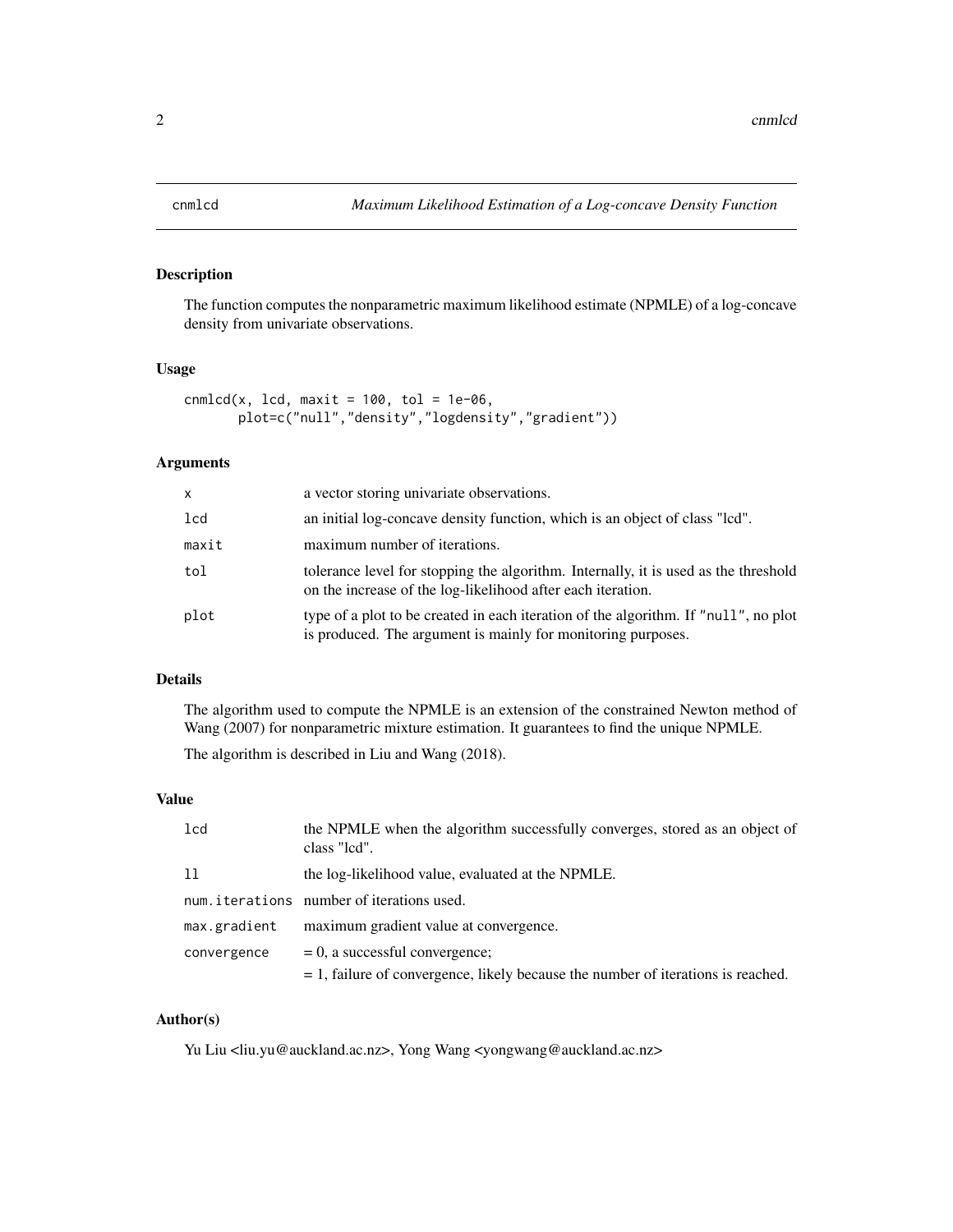<span id="page-1-1"></span><span id="page-1-0"></span>

#### Description

The function computes the nonparametric maximum likelihood estimate (NPMLE) of a log-concave density from univariate observations.

#### Usage

```
cnmlcd(x, lcd, maxit = 100, tol = 1e-06,
      plot=c("null","density","logdensity","gradient"))
```
#### Arguments

| x     | a vector storing univariate observations.                                                                                                           |
|-------|-----------------------------------------------------------------------------------------------------------------------------------------------------|
| 1cd   | an initial log-concave density function, which is an object of class "lcd".                                                                         |
| maxit | maximum number of iterations.                                                                                                                       |
| tol   | tolerance level for stopping the algorithm. Internally, it is used as the threshold<br>on the increase of the log-likelihood after each iteration.  |
| plot  | type of a plot to be created in each iteration of the algorithm. If "null", no plot<br>is produced. The argument is mainly for monitoring purposes. |

#### Details

The algorithm used to compute the NPMLE is an extension of the constrained Newton method of Wang (2007) for nonparametric mixture estimation. It guarantees to find the unique NPMLE.

The algorithm is described in Liu and Wang (2018).

#### Value

| 1 <sub>cd</sub> | the NPMLE when the algorithm successfully converges, stored as an object of<br>class "led". |
|-----------------|---------------------------------------------------------------------------------------------|
| 11              | the log-likelihood value, evaluated at the NPMLE.                                           |
|                 | num.iterations number of iterations used.                                                   |
| max.gradient    | maximum gradient value at convergence.                                                      |
| convergence     | $= 0$ , a successful convergence;                                                           |
|                 | $= 1$ , failure of convergence, likely because the number of iterations is reached.         |

#### Author(s)

Yu Liu <liu.yu@auckland.ac.nz>, Yong Wang <yongwang@auckland.ac.nz>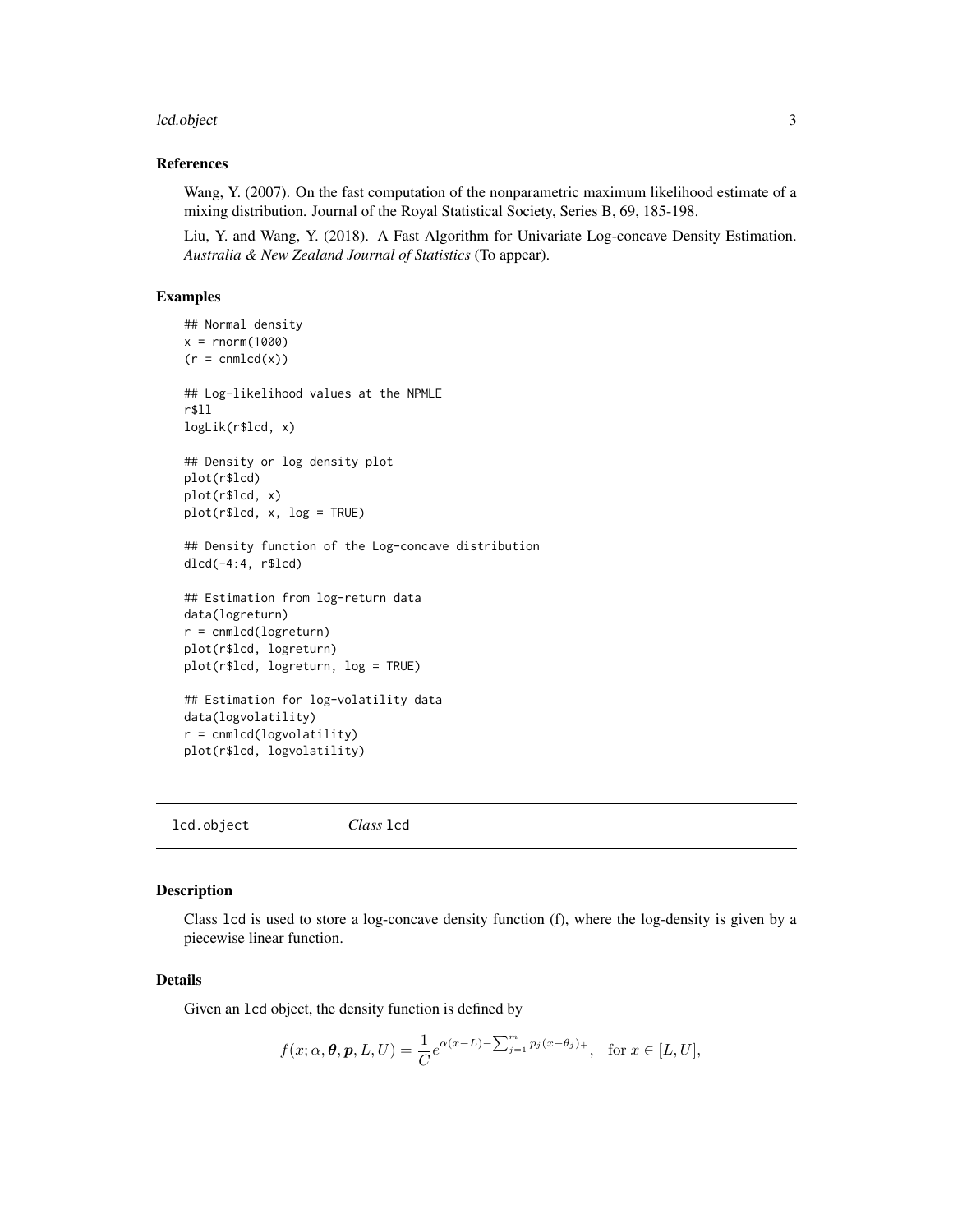#### <span id="page-2-0"></span>lcd.object 3 and 3 and 3 and 3 and 3 and 3 and 3 and 3 and 3 and 3 and 3 and 3 and 3 and 3 and 3 and 3 and 3 and 3 and 3 and 3 and 3 and 3 and 3 and 3 and 3 and 3 and 3 and 3 and 3 and 3 and 3 and 3 and 3 and 3 and 3 and 3

#### References

Wang, Y. (2007). On the fast computation of the nonparametric maximum likelihood estimate of a mixing distribution. Journal of the Royal Statistical Society, Series B, 69, 185-198.

Liu, Y. and Wang, Y. (2018). A Fast Algorithm for Univariate Log-concave Density Estimation. *Australia & New Zealand Journal of Statistics* (To appear).

#### Examples

```
## Normal density
x = rnorm(1000)(r = \text{cmnld}(x))## Log-likelihood values at the NPMLE
r$ll
logLik(r$lcd, x)
## Density or log density plot
plot(r$lcd)
plot(r$lcd, x)
plot(r$lcd, x, log = TRUE)
## Density function of the Log-concave distribution
dlcd(-4:4, r$lcd)
## Estimation from log-return data
data(logreturn)
r = cnmlcd(logreturn)
plot(r$lcd, logreturn)
plot(r$lcd, logreturn, log = TRUE)
## Estimation for log-volatility data
data(logvolatility)
r = cnmlcd(logvolatility)
plot(r$lcd, logvolatility)
```
lcd.object *Class* lcd

#### <span id="page-2-1"></span>Description

Class lcd is used to store a log-concave density function (f), where the log-density is given by a piecewise linear function.

#### Details

Given an lcd object, the density function is defined by

$$
f(x; \alpha, \boldsymbol{\theta}, \boldsymbol{p}, L, U) = \frac{1}{C} e^{\alpha (x - L) - \sum_{j=1}^{m} p_j (x - \theta_j)} , \text{ for } x \in [L, U],
$$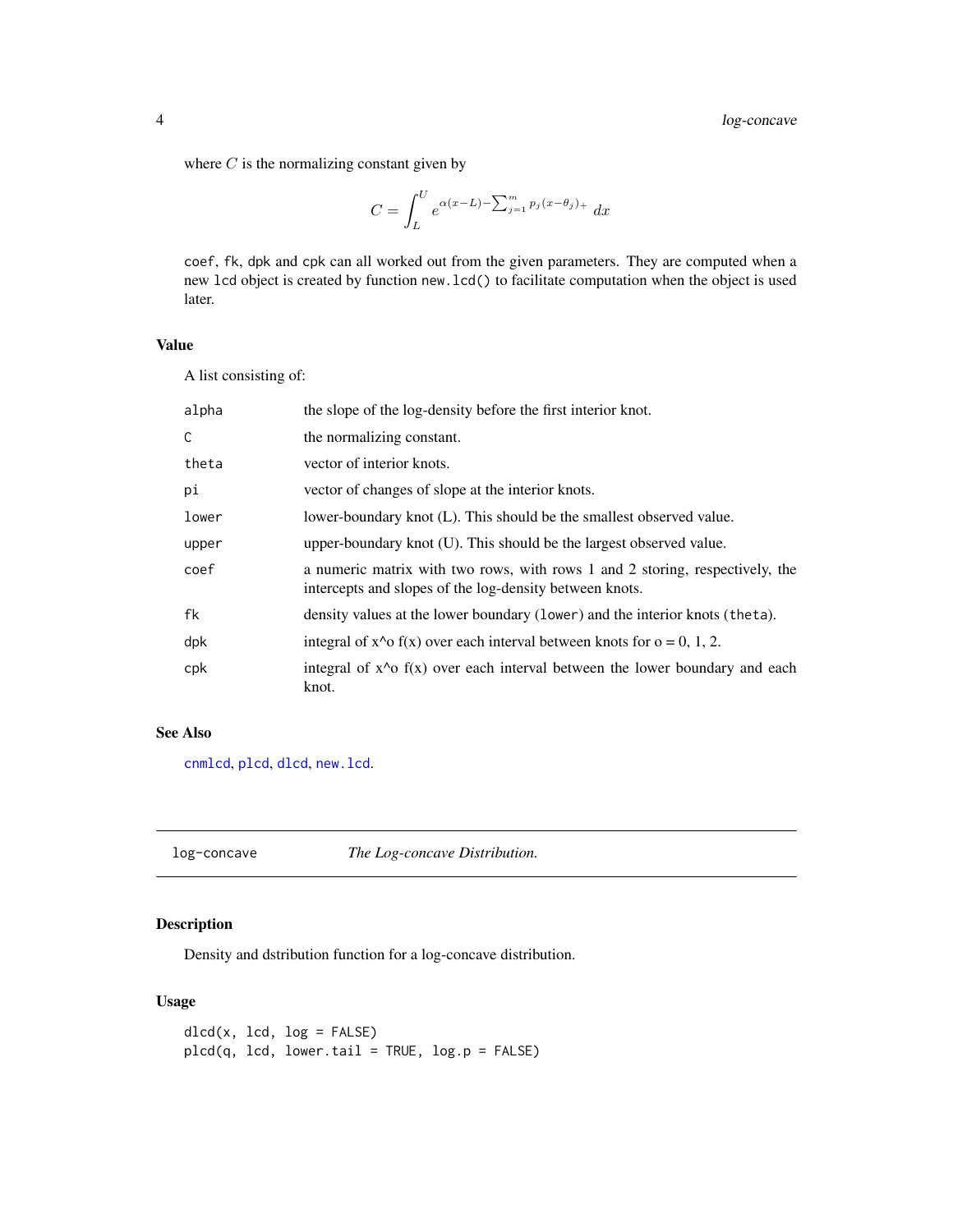<span id="page-3-0"></span>where  $C$  is the normalizing constant given by

$$
C = \int_{L}^{U} e^{\alpha(x-L) - \sum_{j=1}^{m} p_j (x-\theta_j) +} dx
$$

coef, fk, dpk and cpk can all worked out from the given parameters. They are computed when a new lcd object is created by function new.lcd() to facilitate computation when the object is used later.

#### Value

A list consisting of:

| alpha | the slope of the log-density before the first interior knot.                                                                            |  |
|-------|-----------------------------------------------------------------------------------------------------------------------------------------|--|
| C     | the normalizing constant.                                                                                                               |  |
| theta | vector of interior knots.                                                                                                               |  |
| рi    | vector of changes of slope at the interior knots.                                                                                       |  |
| lower | lower-boundary knot (L). This should be the smallest observed value.                                                                    |  |
| upper | upper-boundary knot (U). This should be the largest observed value.                                                                     |  |
| coef  | a numeric matrix with two rows, with rows 1 and 2 storing, respectively, the<br>intercepts and slopes of the log-density between knots. |  |
| fk    | density values at the lower boundary (lower) and the interior knots (theta).                                                            |  |
| dpk   | integral of $x^0$ f(x) over each interval between knots for $o = 0, 1, 2$ .                                                             |  |
| cpk   | integral of $x^0$ of $f(x)$ over each interval between the lower boundary and each<br>knot.                                             |  |

#### See Also

[cnmlcd](#page-1-1), [plcd](#page-3-1), [dlcd](#page-3-1), [new.lcd](#page-6-1).

log-concave *The Log-concave Distribution.*

#### <span id="page-3-1"></span>Description

Density and dstribution function for a log-concave distribution.

#### Usage

 $dlcd(x, lcd, log = FALSE)$ plcd(q, lcd, lower.tail = TRUE, log.p = FALSE)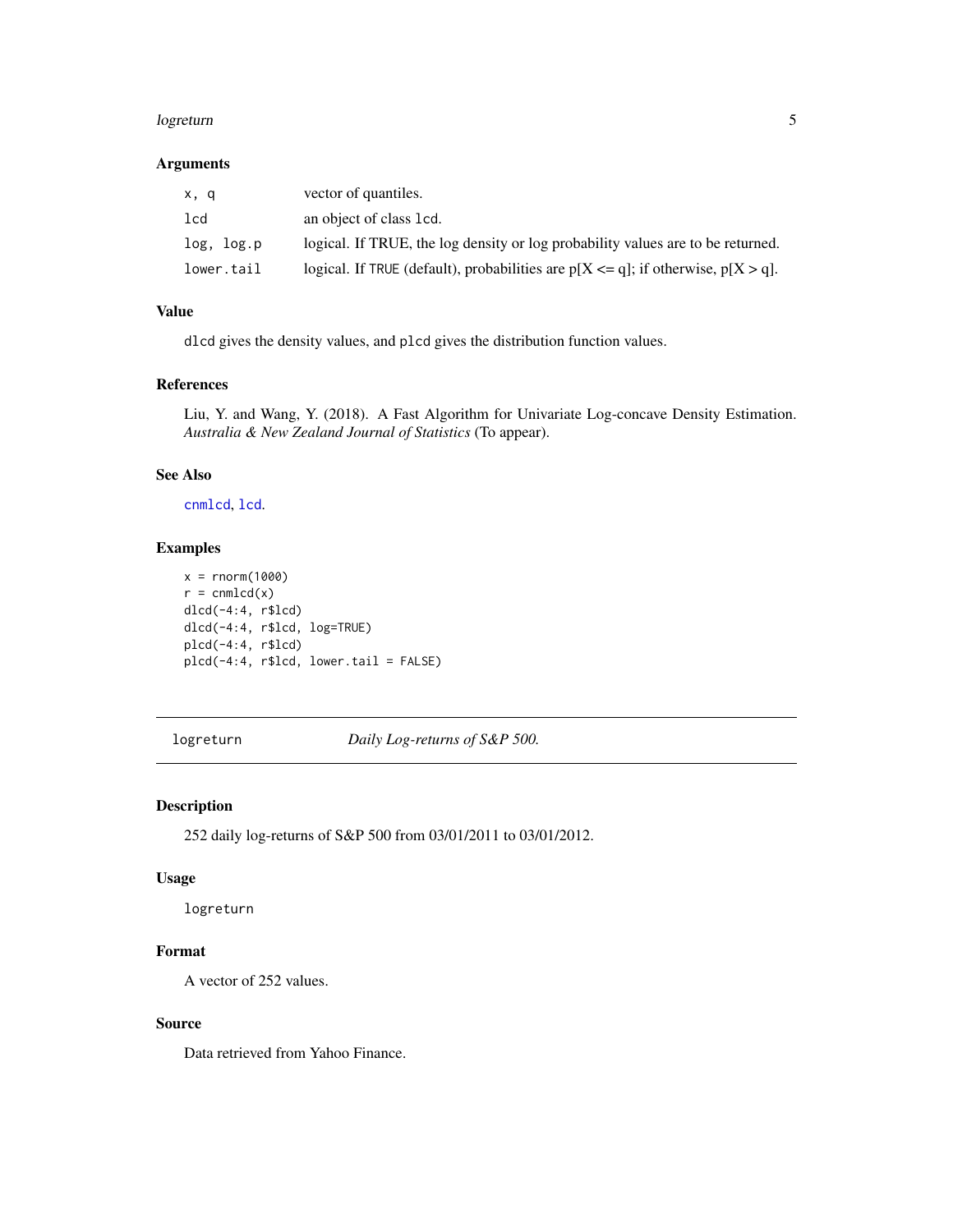#### <span id="page-4-0"></span>logreturn 55 and 55 and 55 and 55 and 55 and 55 and 55 and 55 and 55 and 55 and 55 and 55 and 55 and 55 and 55

#### Arguments

| x, q       | vector of quantiles.                                                                     |
|------------|------------------------------------------------------------------------------------------|
| lcd        | an object of class 1cd.                                                                  |
| log, log.p | logical. If TRUE, the log density or log probability values are to be returned.          |
| lower.tail | logical. If TRUE (default), probabilities are $p[X \leq q]$ ; if otherwise, $p[X > q]$ . |

#### Value

dlcd gives the density values, and plcd gives the distribution function values.

#### References

Liu, Y. and Wang, Y. (2018). A Fast Algorithm for Univariate Log-concave Density Estimation. *Australia & New Zealand Journal of Statistics* (To appear).

#### See Also

[cnmlcd](#page-1-1), [lcd](#page-2-1).

#### Examples

```
x = rnorm(1000)r = \text{cmnld}(x)dlcd(-4:4, r$lcd)
dlcd(-4:4, r$lcd, log=TRUE)
plcd(-4:4, r$lcd)
plcd(-4:4, r$lcd, lower.tail = FALSE)
```
logreturn *Daily Log-returns of S&P 500.*

#### Description

252 daily log-returns of S&P 500 from 03/01/2011 to 03/01/2012.

#### Usage

logreturn

#### Format

A vector of 252 values.

#### Source

Data retrieved from Yahoo Finance.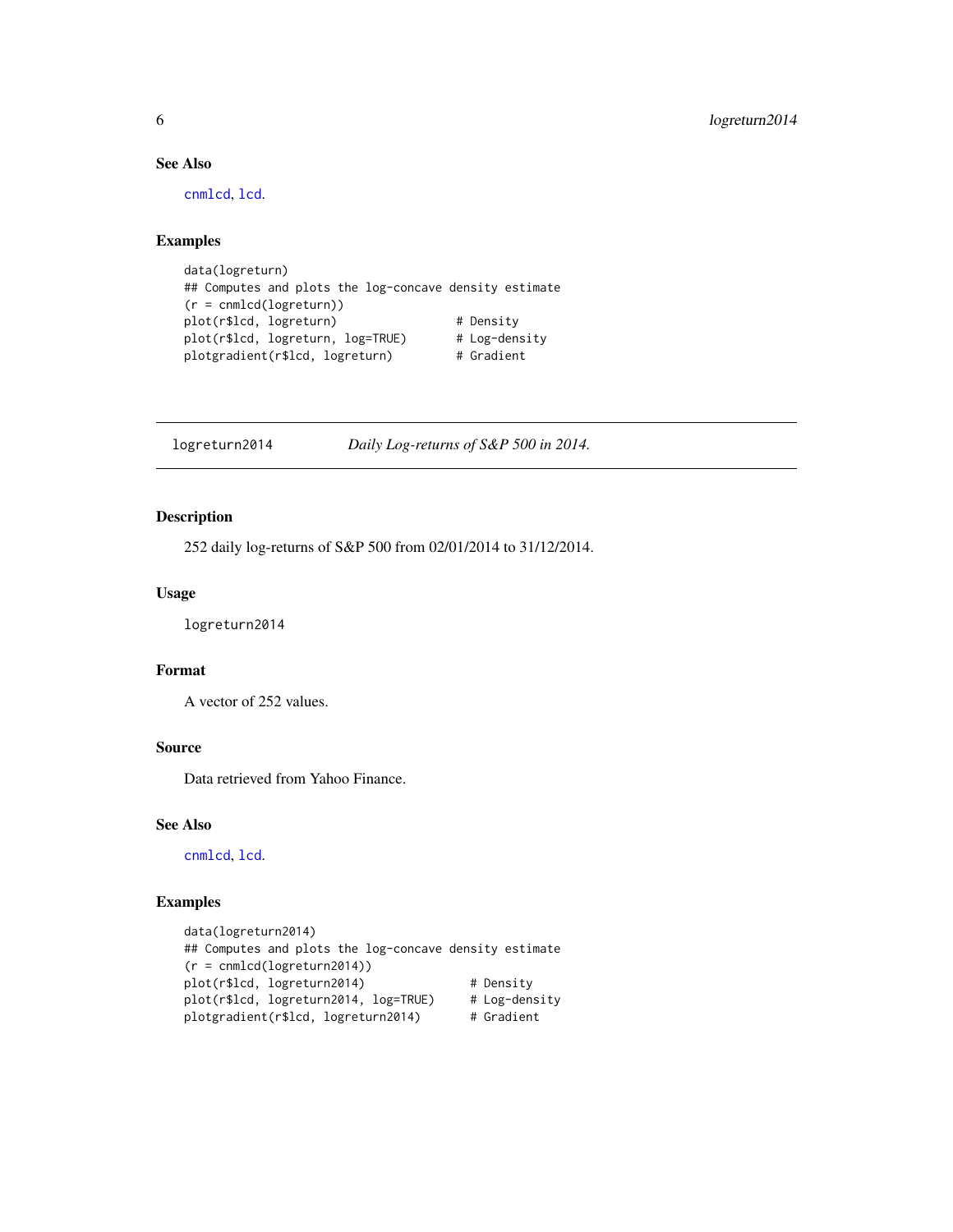#### See Also

[cnmlcd](#page-1-1), [lcd](#page-2-1).

#### Examples

```
data(logreturn)
## Computes and plots the log-concave density estimate
(r = cnmlcd(logreturn))
plot(r$lcd, logreturn) # Density
plot(r$lcd, logreturn, log=TRUE) # Log-density
plotgradient(r$lcd, logreturn) # Gradient
```
logreturn2014 *Daily Log-returns of S&P 500 in 2014.*

#### Description

252 daily log-returns of S&P 500 from 02/01/2014 to 31/12/2014.

#### Usage

logreturn2014

#### Format

A vector of 252 values.

#### Source

Data retrieved from Yahoo Finance.

#### See Also

[cnmlcd](#page-1-1), [lcd](#page-2-1).

#### Examples

```
data(logreturn2014)
## Computes and plots the log-concave density estimate
(r = cnmlcd(logreturn2014))
plot(r$lcd, logreturn2014) # Density
plot(r$lcd, logreturn2014, log=TRUE) # Log-density
plotgradient(r$lcd, logreturn2014) # Gradient
```
<span id="page-5-0"></span>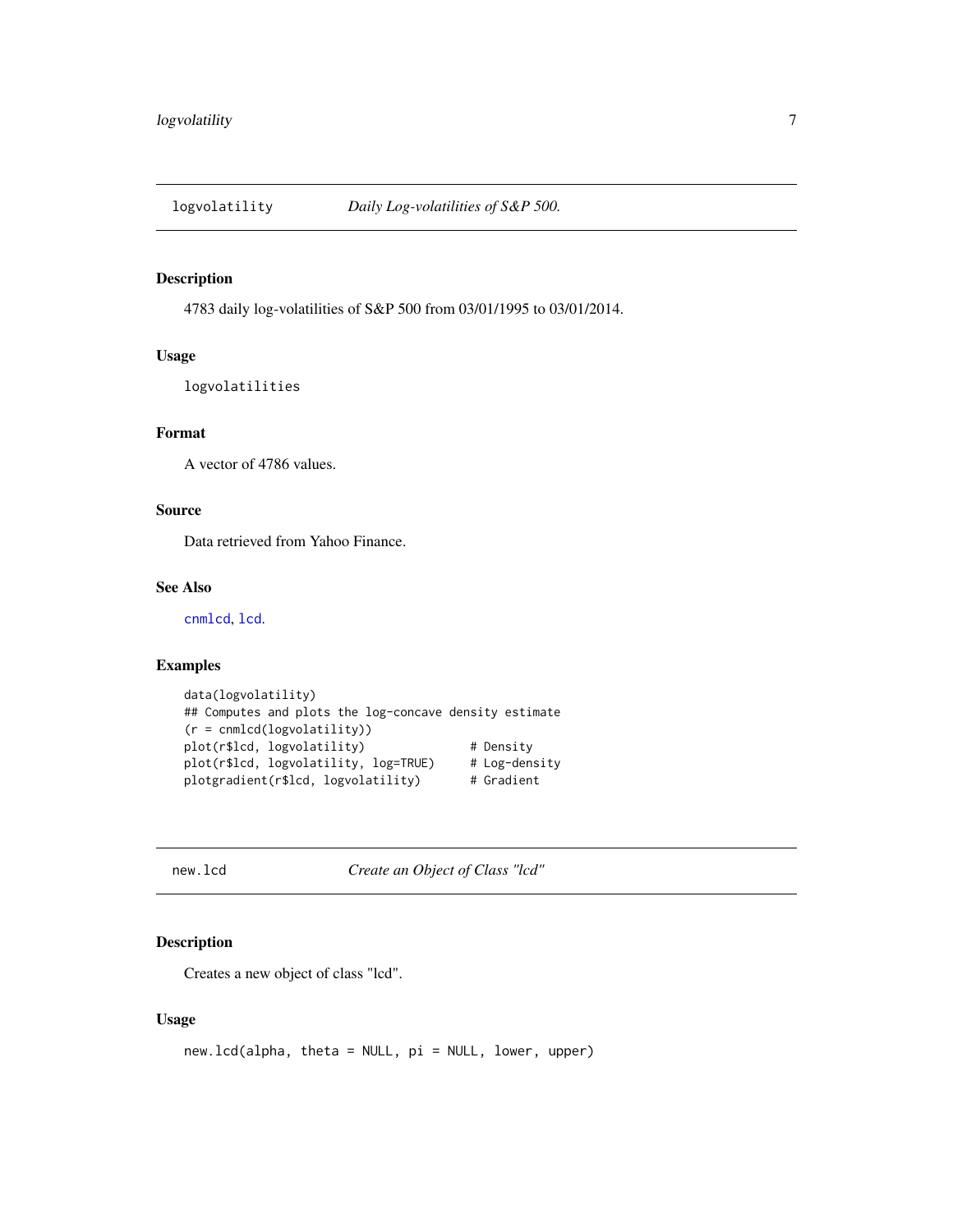<span id="page-6-0"></span>

#### Description

4783 daily log-volatilities of S&P 500 from 03/01/1995 to 03/01/2014.

#### Usage

logvolatilities

#### Format

A vector of 4786 values.

#### Source

Data retrieved from Yahoo Finance.

#### See Also

[cnmlcd](#page-1-1), [lcd](#page-2-1).

#### Examples

```
data(logvolatility)
## Computes and plots the log-concave density estimate
(r = cnmlcd(logvolatility))
plot(r$lcd, logvolatility) # Density<br>plot(r$lcd, logvolatility, log=TRUE) # Log-density
plot(r$1cd, logvolatility, log=TRUE)plotgradient(r$lcd, logvolatility) # Gradient
```
<span id="page-6-1"></span>new.lcd *Create an Object of Class "lcd"*

#### Description

Creates a new object of class "lcd".

#### Usage

new.lcd(alpha, theta = NULL, pi = NULL, lower, upper)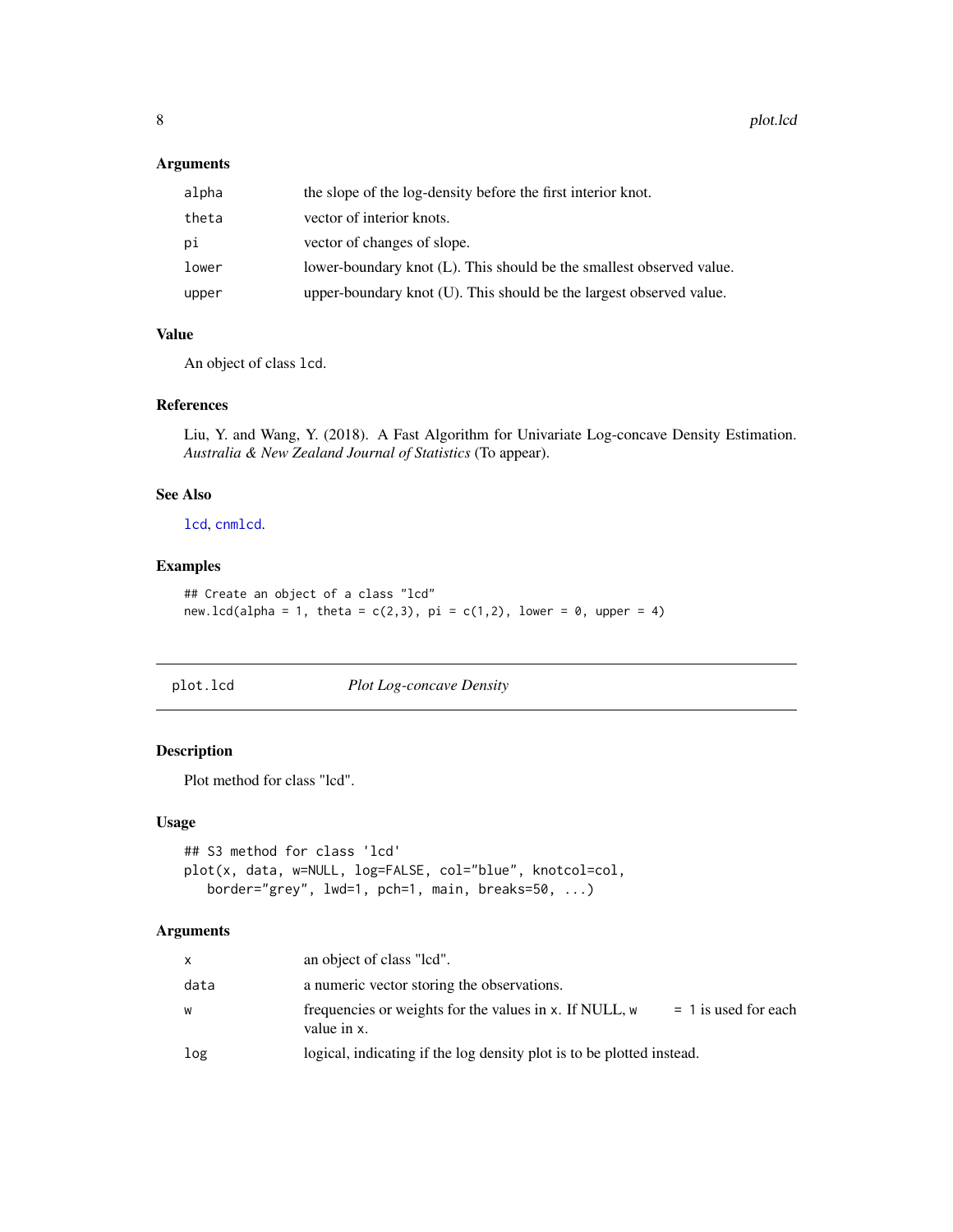#### <span id="page-7-0"></span>Arguments

| alpha | the slope of the log-density before the first interior knot.         |
|-------|----------------------------------------------------------------------|
| theta | vector of interior knots.                                            |
| рi    | vector of changes of slope.                                          |
| lower | lower-boundary knot (L). This should be the smallest observed value. |
| upper | upper-boundary knot (U). This should be the largest observed value.  |

#### Value

An object of class lcd.

#### References

Liu, Y. and Wang, Y. (2018). A Fast Algorithm for Univariate Log-concave Density Estimation. *Australia & New Zealand Journal of Statistics* (To appear).

#### See Also

[lcd](#page-2-1), [cnmlcd](#page-1-1).

#### Examples

```
## Create an object of a class "lcd"
new.lcd(alpha = 1, theta = c(2,3), pi = c(1,2), lower = 0, upper = 4)
```
plot.lcd *Plot Log-concave Density*

#### Description

Plot method for class "lcd".

#### Usage

```
## S3 method for class 'lcd'
plot(x, data, w=NULL, log=FALSE, col="blue", knotcol=col,
   border="grey", lwd=1, pch=1, main, breaks=50, ...)
```
#### Arguments

| $\mathsf{x}$ | an object of class "lcd".                                                                       |  |
|--------------|-------------------------------------------------------------------------------------------------|--|
| data         | a numeric vector storing the observations.                                                      |  |
| W            | frequencies or weights for the values in x. If NULL, w<br>$= 1$ is used for each<br>value in x. |  |
| log          | logical, indicating if the log density plot is to be plotted instead.                           |  |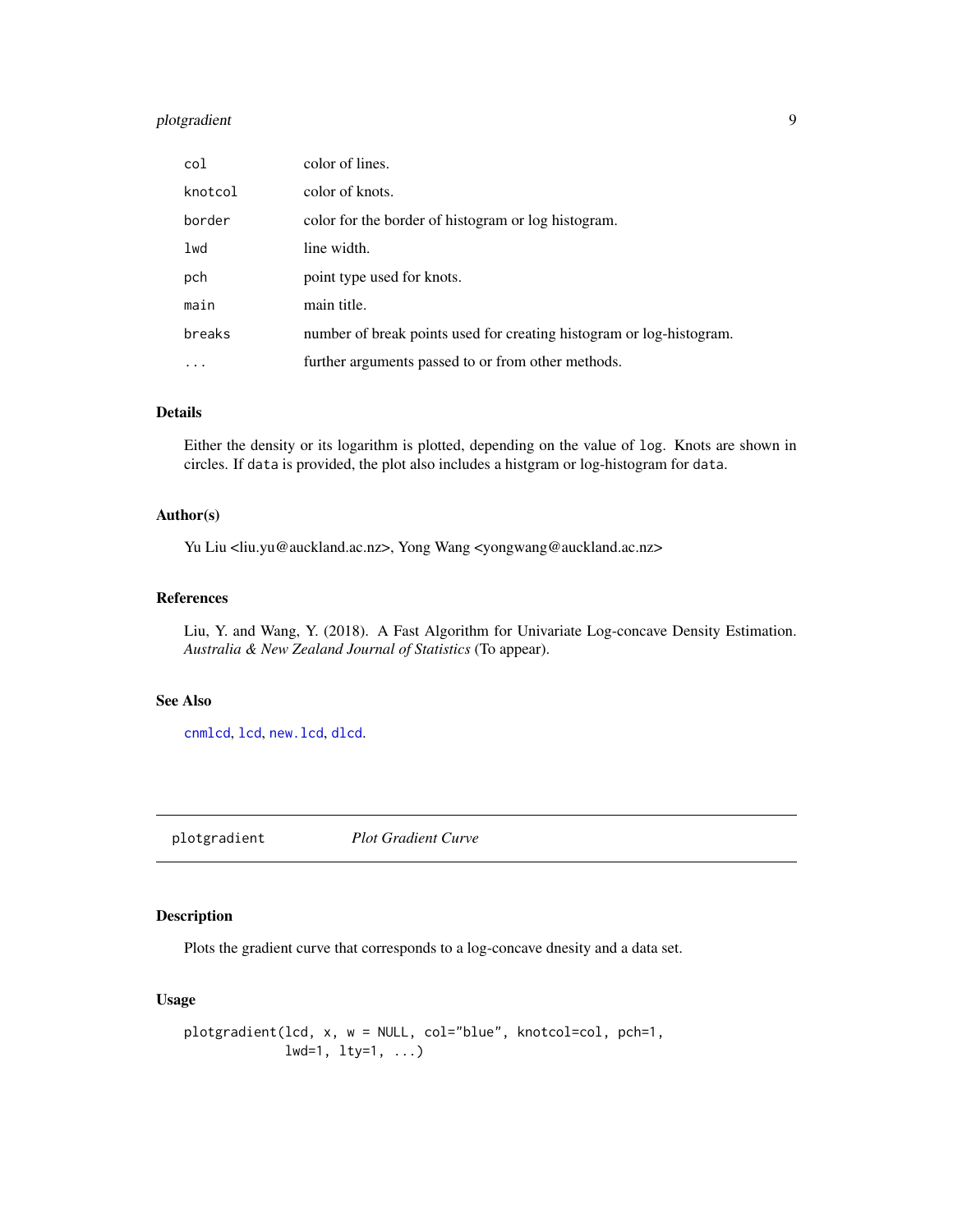#### <span id="page-8-0"></span>plotgradient 9

| col       | color of lines.                                                      |
|-----------|----------------------------------------------------------------------|
| knotcol   | color of knots.                                                      |
| border    | color for the border of histogram or log histogram.                  |
| lwd       | line width.                                                          |
| pch       | point type used for knots.                                           |
| main      | main title.                                                          |
| breaks    | number of break points used for creating histogram or log-histogram. |
| $\ddotsc$ | further arguments passed to or from other methods.                   |

#### Details

Either the density or its logarithm is plotted, depending on the value of log. Knots are shown in circles. If data is provided, the plot also includes a histgram or log-histogram for data.

#### Author(s)

Yu Liu <liu.yu@auckland.ac.nz>, Yong Wang <yongwang@auckland.ac.nz>

#### References

Liu, Y. and Wang, Y. (2018). A Fast Algorithm for Univariate Log-concave Density Estimation. *Australia & New Zealand Journal of Statistics* (To appear).

#### See Also

[cnmlcd](#page-1-1), [lcd](#page-2-1), [new.lcd](#page-6-1), [dlcd](#page-3-1).

plotgradient *Plot Gradient Curve*

#### Description

Plots the gradient curve that corresponds to a log-concave dnesity and a data set.

#### Usage

```
plotgradient(lcd, x, w = NULL, col="blue", knotcol=col, pch=1,
            lwd=1, lty=1, ...)
```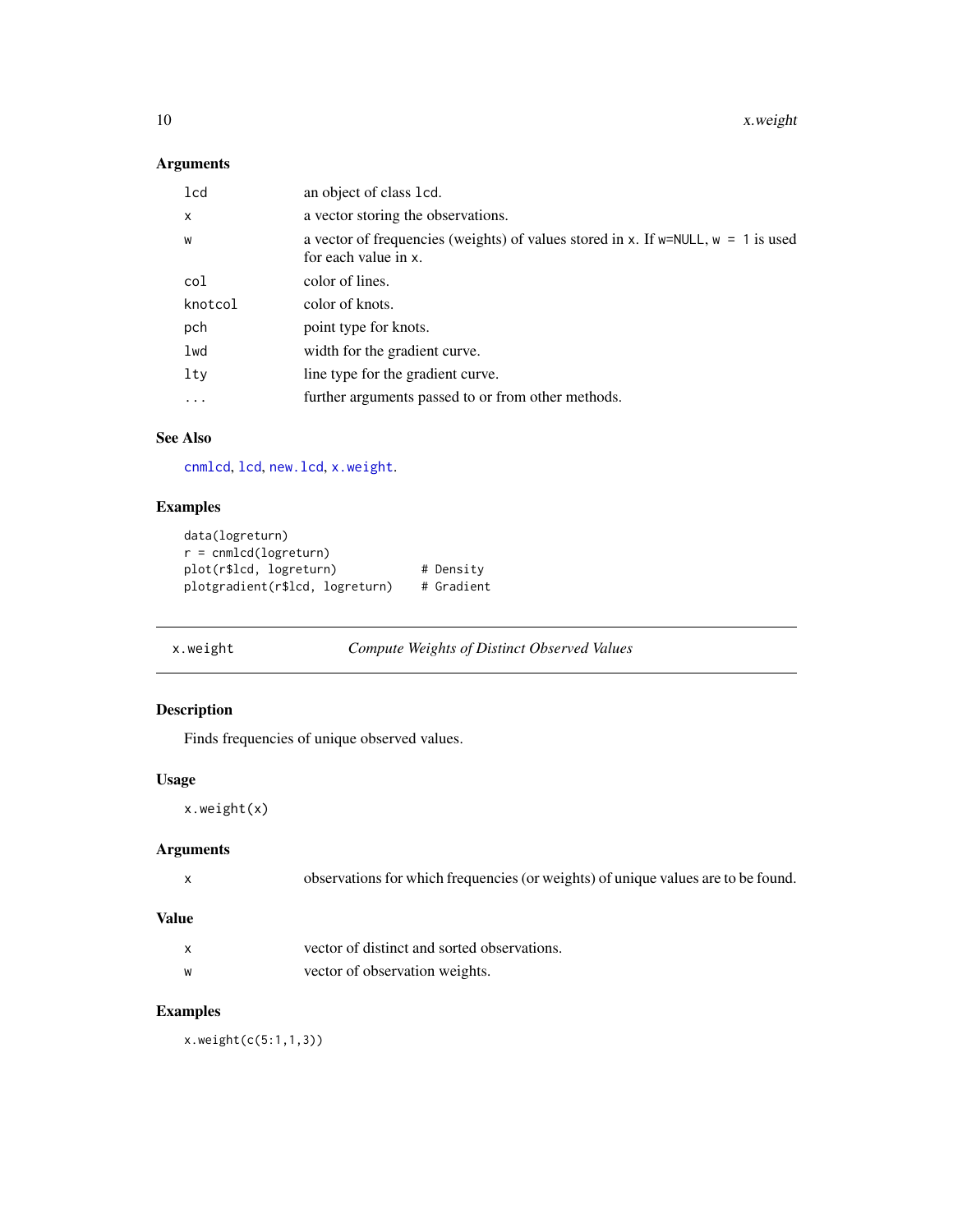<span id="page-9-0"></span>10 x.weight

#### Arguments

| 1 <sub>cd</sub> | an object of class 1cd.                                                                                          |
|-----------------|------------------------------------------------------------------------------------------------------------------|
| X               | a vector storing the observations.                                                                               |
| W               | a vector of frequencies (weights) of values stored in x. If $w = NULL$ , $w = 1$ is used<br>for each value in x. |
| col             | color of lines.                                                                                                  |
| knotcol         | color of knots.                                                                                                  |
| pch             | point type for knots.                                                                                            |
| lwd             | width for the gradient curve.                                                                                    |
| lty             | line type for the gradient curve.                                                                                |
| $\cdots$        | further arguments passed to or from other methods.                                                               |

#### See Also

[cnmlcd](#page-1-1), [lcd](#page-2-1), [new.lcd](#page-6-1), [x.weight](#page-9-1).

#### Examples

```
data(logreturn)
r = cnmlcd(logreturn)
plot(r$lcd, logreturn) # Density
plotgradient(r$lcd, logreturn) # Gradient
```
<span id="page-9-1"></span>x.weight *Compute Weights of Distinct Observed Values*

#### Description

Finds frequencies of unique observed values.

#### Usage

x.weight(x)

#### Arguments

| observations for which frequencies (or weights) of unique values are to be found. |
|-----------------------------------------------------------------------------------|
|                                                                                   |

#### Value

| X | vector of distinct and sorted observations. |  |
|---|---------------------------------------------|--|
| W | vector of observation weights.              |  |

#### Examples

x.weight(c(5:1,1,3))